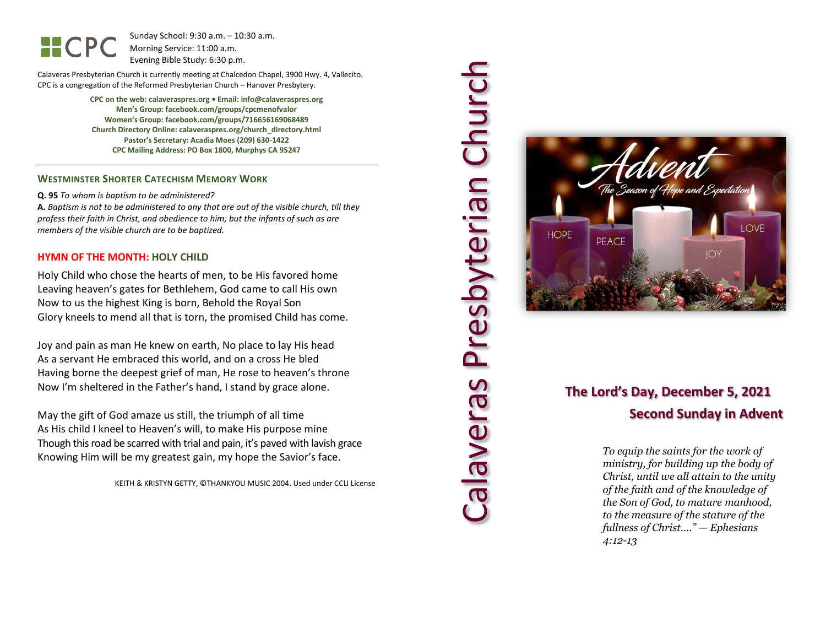Sunday School: 9: 3 0 a.m. – 10:30 a.m. Morning Service: 1 1 :00 a.m. Evening Bible Study: 6: 30 p.m.

Calaveras Presbyterian Church is currently meeting at Chalcedon Chapel, 3900 Hwy. 4, Vallecito. CPC is a congregation of the Reformed Presbyterian Church – Hanover Presbytery.

> **CPC on the web: calaveraspres.org • Email: info@calaveraspres.org Men's Group: facebook.com/groups/cpcmenofvalor Women's Group: facebook.com/groups/716656169068489 Church Directory Online: calaveraspres.org/church \_directory.html Pastor's Secretary: Acadia Moes (209) 630 -1422 CPC Mailing Address: PO Box 1800, Murphys CA 95247**

## **WESTMINSTER SHORTER CATECHISM MEMORY WORK**

**Q . 9 5** *To whom is baptism to be administered?*

**A.** *Baptism is not to be administered to any that are out of the visible church, till they profess their faith in Christ, and obedience to him; but the infants of such as are members of the visible church are to be baptized.*

### **HYMN OF THE MONTH: HOLY CHILD**

Holy Child who chose the hearts of men, to be His favored home Leaving heaven's gates for Bethlehem, God came to call His own Now to us the highest King is born, Behold the Royal Son Glory kneels to mend all that is torn, the promised Child has come .

Joy and pain as man He knew on earth, No place to lay His head As a servant He embraced this world, and on a cross He bled Having borne the deepest grief of man, He rose to heaven's throne Now I'm sheltered in the Father's hand, I stand by grace alone .

May the gift of God amaze us still, the triumph of all time As His child I kneel to Heaven's will, to make His purpose mine Though this road be scarred with trial and pain, it's paved with lavish grace Knowing Him will be my greatest gain, my hope the Savior's face .

KEITH & KRISTYN GETTY, ©THANKYOU MUSIC 2004. Used under CCLI License





## **The Lord's Day, December 5, 2021 Second Sunday in Advent**

*To equip the saints for the work of ministry, for building up the body of Christ, until we all attain to the unity of the faith and of the knowledge of the Son of God, to mature manhood, to the measure of the stature of the fullness of Christ…." — Ephesians 4:12 -13*